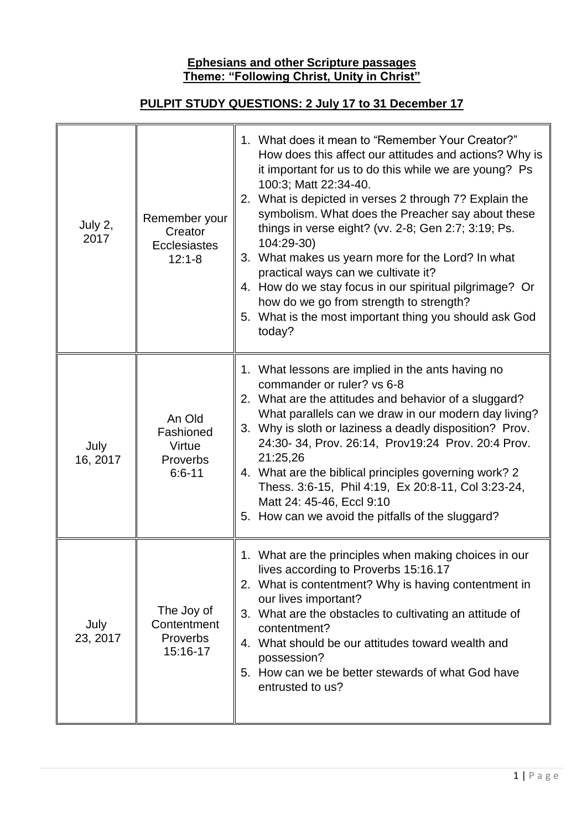## **Ephesians and other Scripture passages Theme: "Following Christ, Unity in Christ"**

## **PULPIT STUDY QUESTIONS: 2 July 17 to 31 December 17**

| July 2,<br>2017  | Remember your<br>Creator<br><b>Ecclesiastes</b><br>$12:1 - 8$ | 1. What does it mean to "Remember Your Creator?"<br>How does this affect our attitudes and actions? Why is<br>it important for us to do this while we are young? Ps<br>100:3; Matt 22:34-40.<br>2. What is depicted in verses 2 through 7? Explain the<br>symbolism. What does the Preacher say about these<br>things in verse eight? (vv. 2-8; Gen 2:7; 3:19; Ps.<br>104:29-30)<br>3. What makes us yearn more for the Lord? In what<br>practical ways can we cultivate it?<br>4. How do we stay focus in our spiritual pilgrimage? Or<br>how do we go from strength to strength?<br>5. What is the most important thing you should ask God<br>today? |
|------------------|---------------------------------------------------------------|--------------------------------------------------------------------------------------------------------------------------------------------------------------------------------------------------------------------------------------------------------------------------------------------------------------------------------------------------------------------------------------------------------------------------------------------------------------------------------------------------------------------------------------------------------------------------------------------------------------------------------------------------------|
| July<br>16, 2017 | An Old<br>Fashioned<br>Virtue<br>Proverbs<br>$6:6 - 11$       | 1. What lessons are implied in the ants having no<br>commander or ruler? vs 6-8<br>2. What are the attitudes and behavior of a sluggard?<br>What parallels can we draw in our modern day living?<br>3. Why is sloth or laziness a deadly disposition? Prov.<br>24:30-34, Prov. 26:14, Prov19:24 Prov. 20:4 Prov.<br>21:25,26<br>4. What are the biblical principles governing work? 2<br>Thess. 3:6-15, Phil 4:19, Ex 20:8-11, Col 3:23-24,<br>Matt 24: 45-46, Eccl 9:10<br>5. How can we avoid the pitfalls of the sluggard?                                                                                                                          |
| July<br>23, 2017 | The Joy of<br>Contentment<br><b>Proverbs</b><br>15:16-17      | 1. What are the principles when making choices in our<br>lives according to Proverbs 15:16.17<br>2. What is contentment? Why is having contentment in<br>our lives important?<br>3. What are the obstacles to cultivating an attitude of<br>contentment?<br>4. What should be our attitudes toward wealth and<br>possession?<br>5. How can we be better stewards of what God have<br>entrusted to us?                                                                                                                                                                                                                                                  |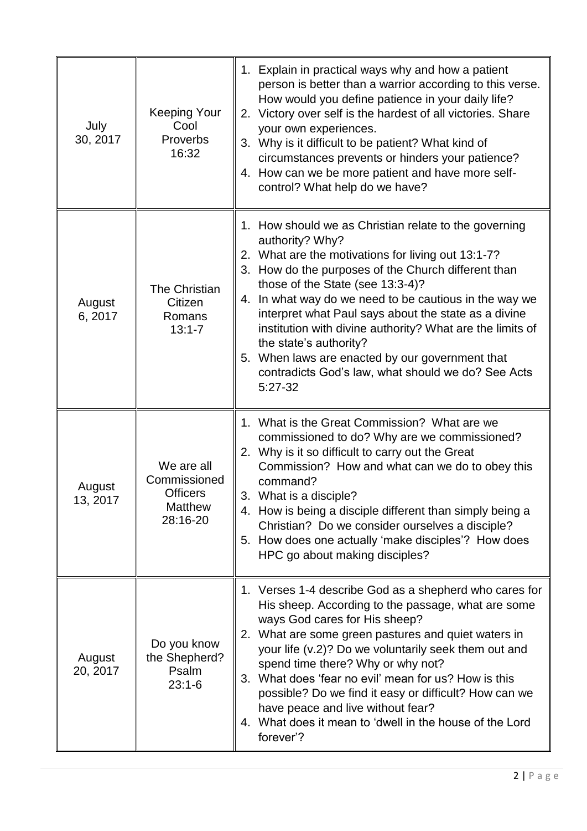| July<br>30, 2017   | <b>Keeping Your</b><br>Cool<br>Proverbs<br>16:32                            | 1. Explain in practical ways why and how a patient<br>person is better than a warrior according to this verse.<br>How would you define patience in your daily life?<br>2. Victory over self is the hardest of all victories. Share<br>your own experiences.<br>3. Why is it difficult to be patient? What kind of<br>circumstances prevents or hinders your patience?<br>4. How can we be more patient and have more self-<br>control? What help do we have?                                                                                             |
|--------------------|-----------------------------------------------------------------------------|----------------------------------------------------------------------------------------------------------------------------------------------------------------------------------------------------------------------------------------------------------------------------------------------------------------------------------------------------------------------------------------------------------------------------------------------------------------------------------------------------------------------------------------------------------|
| August<br>6, 2017  | The Christian<br>Citizen<br>Romans<br>$13:1 - 7$                            | 1. How should we as Christian relate to the governing<br>authority? Why?<br>2. What are the motivations for living out 13:1-7?<br>3. How do the purposes of the Church different than<br>those of the State (see 13:3-4)?<br>4. In what way do we need to be cautious in the way we<br>interpret what Paul says about the state as a divine<br>institution with divine authority? What are the limits of<br>the state's authority?<br>5. When laws are enacted by our government that<br>contradicts God's law, what should we do? See Acts<br>$5:27-32$ |
| August<br>13, 2017 | We are all<br>Commissioned<br><b>Officers</b><br><b>Matthew</b><br>28:16-20 | 1. What is the Great Commission? What are we<br>commissioned to do? Why are we commissioned?<br>2. Why is it so difficult to carry out the Great<br>Commission? How and what can we do to obey this<br>command?<br>3.<br>What is a disciple?<br>4. How is being a disciple different than simply being a<br>Christian? Do we consider ourselves a disciple?<br>5. How does one actually 'make disciples'? How does<br>HPC go about making disciples?                                                                                                     |
| August<br>20, 2017 | Do you know<br>the Shepherd?<br>Psalm<br>$23:1-6$                           | 1. Verses 1-4 describe God as a shepherd who cares for<br>His sheep. According to the passage, what are some<br>ways God cares for His sheep?<br>2. What are some green pastures and quiet waters in<br>your life (v.2)? Do we voluntarily seek them out and<br>spend time there? Why or why not?<br>3. What does 'fear no evil' mean for us? How is this<br>possible? Do we find it easy or difficult? How can we<br>have peace and live without fear?<br>4. What does it mean to 'dwell in the house of the Lord<br>forever'?                          |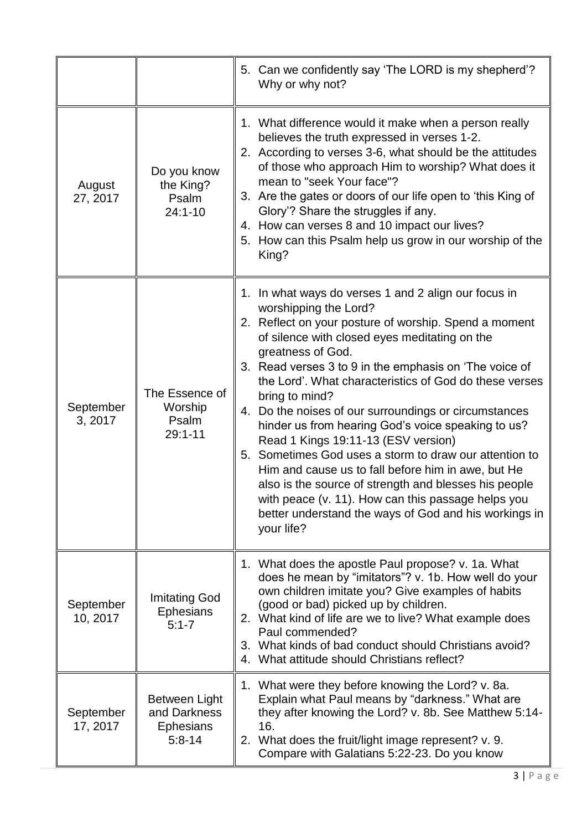|                       |                                                                 | 5. Can we confidently say 'The LORD is my shepherd'?<br>Why or why not?                                                                                                                                                                                                                                                                                                                                                                                                                                                                                                                                                                                                                                                                                                                                           |
|-----------------------|-----------------------------------------------------------------|-------------------------------------------------------------------------------------------------------------------------------------------------------------------------------------------------------------------------------------------------------------------------------------------------------------------------------------------------------------------------------------------------------------------------------------------------------------------------------------------------------------------------------------------------------------------------------------------------------------------------------------------------------------------------------------------------------------------------------------------------------------------------------------------------------------------|
| August<br>27, 2017    | Do you know<br>the King?<br>Psalm<br>$24:1 - 10$                | 1. What difference would it make when a person really<br>believes the truth expressed in verses 1-2.<br>2. According to verses 3-6, what should be the attitudes<br>of those who approach Him to worship? What does it<br>mean to "seek Your face"?<br>3. Are the gates or doors of our life open to 'this King of<br>Glory'? Share the struggles if any.<br>4. How can verses 8 and 10 impact our lives?<br>5. How can this Psalm help us grow in our worship of the<br>King?                                                                                                                                                                                                                                                                                                                                    |
| September<br>3, 2017  | The Essence of<br>Worship<br>Psalm<br>$29:1 - 11$               | 1. In what ways do verses 1 and 2 align our focus in<br>worshipping the Lord?<br>2. Reflect on your posture of worship. Spend a moment<br>of silence with closed eyes meditating on the<br>greatness of God.<br>3. Read verses 3 to 9 in the emphasis on 'The voice of<br>the Lord'. What characteristics of God do these verses<br>bring to mind?<br>Do the noises of our surroundings or circumstances<br>4.<br>hinder us from hearing God's voice speaking to us?<br>Read 1 Kings 19:11-13 (ESV version)<br>5. Sometimes God uses a storm to draw our attention to<br>Him and cause us to fall before him in awe, but He<br>also is the source of strength and blesses his people<br>with peace (v. 11). How can this passage helps you<br>better understand the ways of God and his workings in<br>your life? |
| September<br>10, 2017 | <b>Imitating God</b><br><b>Ephesians</b><br>$5:1 - 7$           | 1. What does the apostle Paul propose? v. 1a. What<br>does he mean by "imitators"? v. 1b. How well do your<br>own children imitate you? Give examples of habits<br>(good or bad) picked up by children.<br>2. What kind of life are we to live? What example does<br>Paul commended?<br>3. What kinds of bad conduct should Christians avoid?<br>4. What attitude should Christians reflect?                                                                                                                                                                                                                                                                                                                                                                                                                      |
| September<br>17, 2017 | Between Light<br>and Darkness<br><b>Ephesians</b><br>$5:8 - 14$ | 1. What were they before knowing the Lord? v. 8a.<br>Explain what Paul means by "darkness." What are<br>they after knowing the Lord? v. 8b. See Matthew 5:14-<br>16.<br>2. What does the fruit/light image represent? v. 9.<br>Compare with Galatians 5:22-23. Do you know                                                                                                                                                                                                                                                                                                                                                                                                                                                                                                                                        |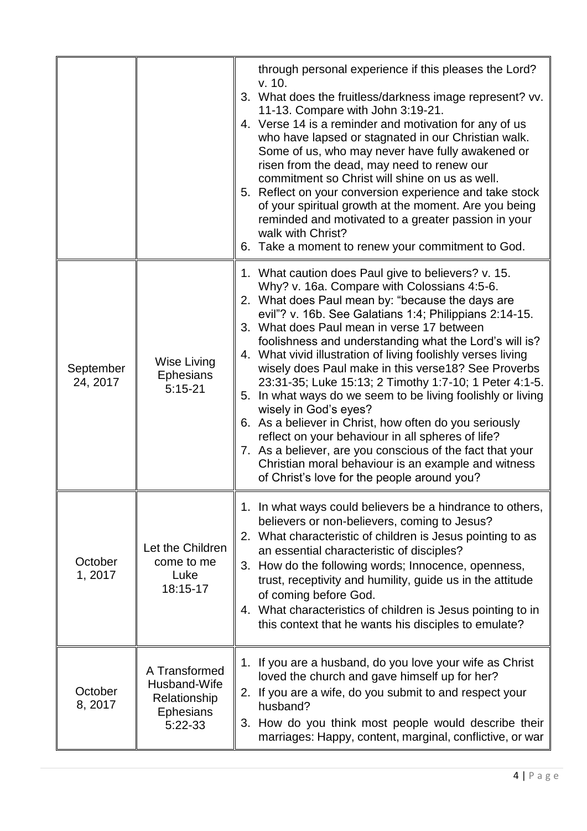|                       |                                                                              | through personal experience if this pleases the Lord?<br>v. 10.<br>3. What does the fruitless/darkness image represent? vv.<br>11-13. Compare with John 3:19-21.<br>4. Verse 14 is a reminder and motivation for any of us<br>who have lapsed or stagnated in our Christian walk.<br>Some of us, who may never have fully awakened or<br>risen from the dead, may need to renew our<br>commitment so Christ will shine on us as well.<br>5. Reflect on your conversion experience and take stock<br>of your spiritual growth at the moment. Are you being<br>reminded and motivated to a greater passion in your<br>walk with Christ?<br>6. Take a moment to renew your commitment to God.                                                                                                                                                                                          |
|-----------------------|------------------------------------------------------------------------------|-------------------------------------------------------------------------------------------------------------------------------------------------------------------------------------------------------------------------------------------------------------------------------------------------------------------------------------------------------------------------------------------------------------------------------------------------------------------------------------------------------------------------------------------------------------------------------------------------------------------------------------------------------------------------------------------------------------------------------------------------------------------------------------------------------------------------------------------------------------------------------------|
| September<br>24, 2017 | <b>Wise Living</b><br><b>Ephesians</b><br>$5:15-21$                          | 1. What caution does Paul give to believers? v. 15.<br>Why? v. 16a. Compare with Colossians 4:5-6.<br>2. What does Paul mean by: "because the days are<br>evil"? v. 16b. See Galatians 1:4; Philippians 2:14-15.<br>3. What does Paul mean in verse 17 between<br>foolishness and understanding what the Lord's will is?<br>4. What vivid illustration of living foolishly verses living<br>wisely does Paul make in this verse18? See Proverbs<br>23:31-35; Luke 15:13; 2 Timothy 1:7-10; 1 Peter 4:1-5.<br>5. In what ways do we seem to be living foolishly or living<br>wisely in God's eyes?<br>6. As a believer in Christ, how often do you seriously<br>reflect on your behaviour in all spheres of life?<br>7. As a believer, are you conscious of the fact that your<br>Christian moral behaviour is an example and witness<br>of Christ's love for the people around you? |
| October<br>1,2017     | Let the Children<br>come to me<br>Luke<br>18:15-17                           | 1. In what ways could believers be a hindrance to others,<br>believers or non-believers, coming to Jesus?<br>2. What characteristic of children is Jesus pointing to as<br>an essential characteristic of disciples?<br>3. How do the following words; Innocence, openness,<br>trust, receptivity and humility, guide us in the attitude<br>of coming before God.<br>4. What characteristics of children is Jesus pointing to in<br>this context that he wants his disciples to emulate?                                                                                                                                                                                                                                                                                                                                                                                            |
| October<br>8, 2017    | A Transformed<br>Husband-Wife<br>Relationship<br><b>Ephesians</b><br>5:22-33 | 1. If you are a husband, do you love your wife as Christ<br>loved the church and gave himself up for her?<br>2. If you are a wife, do you submit to and respect your<br>husband?<br>3. How do you think most people would describe their<br>marriages: Happy, content, marginal, conflictive, or war                                                                                                                                                                                                                                                                                                                                                                                                                                                                                                                                                                                |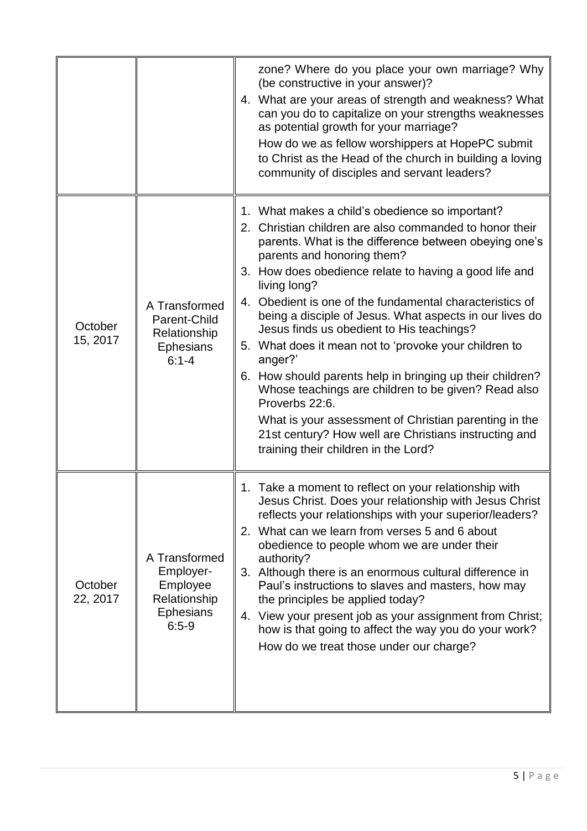|                     |                                                                                       | zone? Where do you place your own marriage? Why<br>(be constructive in your answer)?<br>4. What are your areas of strength and weakness? What<br>can you do to capitalize on your strengths weaknesses<br>as potential growth for your marriage?<br>How do we as fellow worshippers at HopePC submit<br>to Christ as the Head of the church in building a loving<br>community of disciples and servant leaders?                                                                                                                                                                                                                                                                                                                                                                                                     |
|---------------------|---------------------------------------------------------------------------------------|---------------------------------------------------------------------------------------------------------------------------------------------------------------------------------------------------------------------------------------------------------------------------------------------------------------------------------------------------------------------------------------------------------------------------------------------------------------------------------------------------------------------------------------------------------------------------------------------------------------------------------------------------------------------------------------------------------------------------------------------------------------------------------------------------------------------|
| October<br>15, 2017 | A Transformed<br>Parent-Child<br>Relationship<br><b>Ephesians</b><br>$6:1 - 4$        | 1. What makes a child's obedience so important?<br>2. Christian children are also commanded to honor their<br>parents. What is the difference between obeying one's<br>parents and honoring them?<br>3. How does obedience relate to having a good life and<br>living long?<br>4. Obedient is one of the fundamental characteristics of<br>being a disciple of Jesus. What aspects in our lives do<br>Jesus finds us obedient to His teachings?<br>5. What does it mean not to 'provoke your children to<br>anger?'<br>6. How should parents help in bringing up their children?<br>Whose teachings are children to be given? Read also<br>Proverbs 22:6.<br>What is your assessment of Christian parenting in the<br>21st century? How well are Christians instructing and<br>training their children in the Lord? |
| October<br>22, 2017 | A Transformed<br>Employer-<br>Employee<br>Relationship<br><b>Ephesians</b><br>$6:5-9$ | 1. Take a moment to reflect on your relationship with<br>Jesus Christ. Does your relationship with Jesus Christ<br>reflects your relationships with your superior/leaders?<br>2. What can we learn from verses 5 and 6 about<br>obedience to people whom we are under their<br>authority?<br>3. Although there is an enormous cultural difference in<br>Paul's instructions to slaves and masters, how may<br>the principles be applied today?<br>4. View your present job as your assignment from Christ;<br>how is that going to affect the way you do your work?<br>How do we treat those under our charge?                                                                                                                                                                                                      |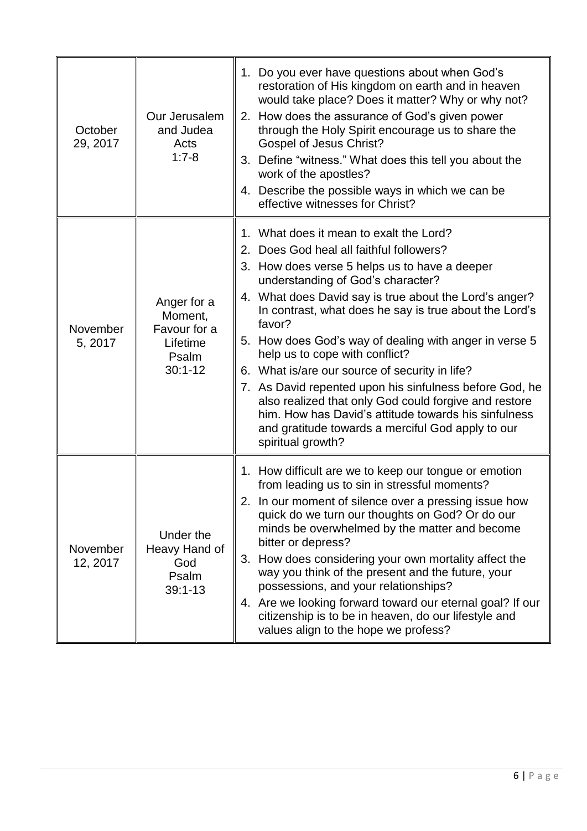| October<br>29, 2017  | Our Jerusalem<br>and Judea<br>Acts<br>$1:7-8$                              | 1. Do you ever have questions about when God's<br>restoration of His kingdom on earth and in heaven<br>would take place? Does it matter? Why or why not?<br>2. How does the assurance of God's given power<br>through the Holy Spirit encourage us to share the<br><b>Gospel of Jesus Christ?</b><br>3. Define "witness." What does this tell you about the<br>work of the apostles?<br>4. Describe the possible ways in which we can be<br>effective witnesses for Christ?                                                                                                                                                                                                                                 |
|----------------------|----------------------------------------------------------------------------|-------------------------------------------------------------------------------------------------------------------------------------------------------------------------------------------------------------------------------------------------------------------------------------------------------------------------------------------------------------------------------------------------------------------------------------------------------------------------------------------------------------------------------------------------------------------------------------------------------------------------------------------------------------------------------------------------------------|
| November<br>5, 2017  | Anger for a<br>Moment,<br>Favour for a<br>Lifetime<br>Psalm<br>$30:1 - 12$ | 1. What does it mean to exalt the Lord?<br>2. Does God heal all faithful followers?<br>3. How does verse 5 helps us to have a deeper<br>understanding of God's character?<br>4. What does David say is true about the Lord's anger?<br>In contrast, what does he say is true about the Lord's<br>favor?<br>5. How does God's way of dealing with anger in verse 5<br>help us to cope with conflict?<br>6. What is/are our source of security in life?<br>7. As David repented upon his sinfulness before God, he<br>also realized that only God could forgive and restore<br>him. How has David's attitude towards his sinfulness<br>and gratitude towards a merciful God apply to our<br>spiritual growth? |
| November<br>12, 2017 | Under the<br>Heavy Hand of<br>God<br>Psalm<br>$39:1 - 13$                  | 1. How difficult are we to keep our tongue or emotion<br>from leading us to sin in stressful moments?<br>2. In our moment of silence over a pressing issue how<br>quick do we turn our thoughts on God? Or do our<br>minds be overwhelmed by the matter and become<br>bitter or depress?<br>3. How does considering your own mortality affect the<br>way you think of the present and the future, your<br>possessions, and your relationships?<br>4. Are we looking forward toward our eternal goal? If our<br>citizenship is to be in heaven, do our lifestyle and<br>values align to the hope we profess?                                                                                                 |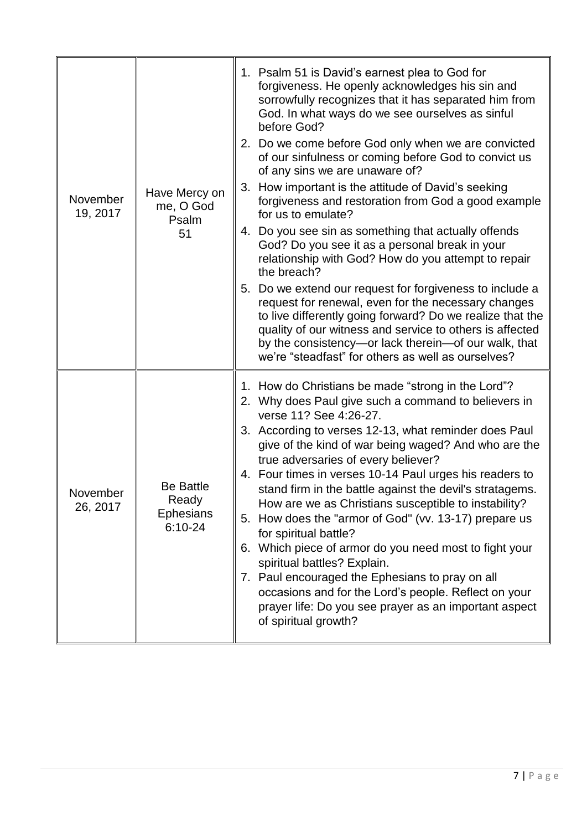| November<br>19, 2017 | Have Mercy on<br>me, O God<br>Psalm<br>51                    | 1. Psalm 51 is David's earnest plea to God for<br>forgiveness. He openly acknowledges his sin and<br>sorrowfully recognizes that it has separated him from<br>God. In what ways do we see ourselves as sinful<br>before God?<br>2. Do we come before God only when we are convicted<br>of our sinfulness or coming before God to convict us<br>of any sins we are unaware of?<br>3. How important is the attitude of David's seeking<br>forgiveness and restoration from God a good example<br>for us to emulate?<br>4. Do you see sin as something that actually offends<br>God? Do you see it as a personal break in your<br>relationship with God? How do you attempt to repair<br>the breach?<br>5. Do we extend our request for forgiveness to include a<br>request for renewal, even for the necessary changes<br>to live differently going forward? Do we realize that the<br>quality of our witness and service to others is affected<br>by the consistency-or lack therein-of our walk, that<br>we're "steadfast" for others as well as ourselves? |
|----------------------|--------------------------------------------------------------|-------------------------------------------------------------------------------------------------------------------------------------------------------------------------------------------------------------------------------------------------------------------------------------------------------------------------------------------------------------------------------------------------------------------------------------------------------------------------------------------------------------------------------------------------------------------------------------------------------------------------------------------------------------------------------------------------------------------------------------------------------------------------------------------------------------------------------------------------------------------------------------------------------------------------------------------------------------------------------------------------------------------------------------------------------------|
| November<br>26, 2017 | <b>Be Battle</b><br>Ready<br><b>Ephesians</b><br>$6:10 - 24$ | 1. How do Christians be made "strong in the Lord"?<br>2. Why does Paul give such a command to believers in<br>verse 11? See 4:26-27.<br>3. According to verses 12-13, what reminder does Paul<br>give of the kind of war being waged? And who are the<br>true adversaries of every believer?<br>4. Four times in verses 10-14 Paul urges his readers to<br>stand firm in the battle against the devil's stratagems.<br>How are we as Christians susceptible to instability?<br>5. How does the "armor of God" (vv. 13-17) prepare us<br>for spiritual battle?<br>6. Which piece of armor do you need most to fight your<br>spiritual battles? Explain.<br>7. Paul encouraged the Ephesians to pray on all<br>occasions and for the Lord's people. Reflect on your<br>prayer life: Do you see prayer as an important aspect<br>of spiritual growth?                                                                                                                                                                                                          |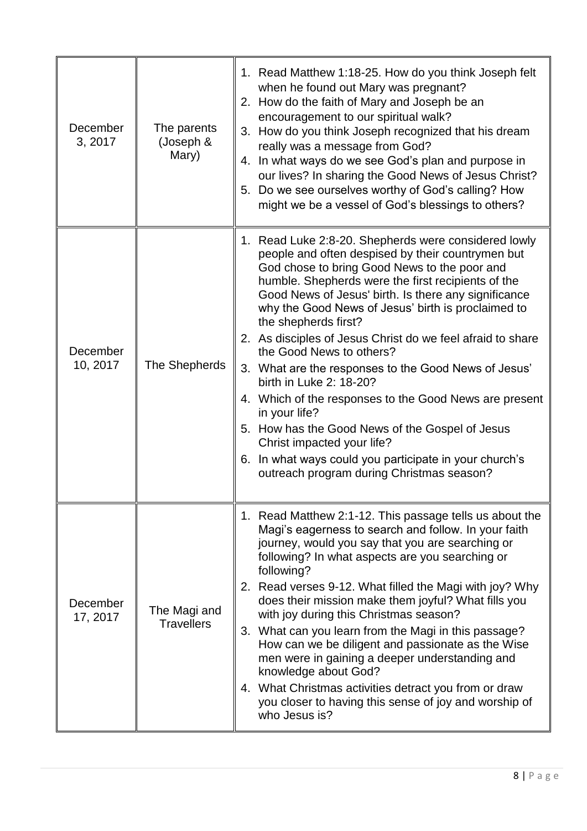| December<br>3, 2017  | The parents<br>(Joseph &<br>Mary) | 1. Read Matthew 1:18-25. How do you think Joseph felt<br>when he found out Mary was pregnant?<br>2. How do the faith of Mary and Joseph be an<br>encouragement to our spiritual walk?<br>3. How do you think Joseph recognized that his dream<br>really was a message from God?<br>4. In what ways do we see God's plan and purpose in<br>our lives? In sharing the Good News of Jesus Christ?<br>5. Do we see ourselves worthy of God's calling? How<br>might we be a vessel of God's blessings to others?                                                                                                                                                                                                                                                                                           |
|----------------------|-----------------------------------|-------------------------------------------------------------------------------------------------------------------------------------------------------------------------------------------------------------------------------------------------------------------------------------------------------------------------------------------------------------------------------------------------------------------------------------------------------------------------------------------------------------------------------------------------------------------------------------------------------------------------------------------------------------------------------------------------------------------------------------------------------------------------------------------------------|
| December<br>10, 2017 | The Shepherds                     | 1. Read Luke 2:8-20. Shepherds were considered lowly<br>people and often despised by their countrymen but<br>God chose to bring Good News to the poor and<br>humble. Shepherds were the first recipients of the<br>Good News of Jesus' birth. Is there any significance<br>why the Good News of Jesus' birth is proclaimed to<br>the shepherds first?<br>2. As disciples of Jesus Christ do we feel afraid to share<br>the Good News to others?<br>3. What are the responses to the Good News of Jesus'<br>birth in Luke 2: 18-20?<br>4. Which of the responses to the Good News are present<br>in your life?<br>5. How has the Good News of the Gospel of Jesus<br>Christ impacted your life?<br>6. In what ways could you participate in your church's<br>outreach program during Christmas season? |
| December<br>17, 2017 | The Magi and<br><b>Travellers</b> | 1. Read Matthew 2:1-12. This passage tells us about the<br>Magi's eagerness to search and follow. In your faith<br>journey, would you say that you are searching or<br>following? In what aspects are you searching or<br>following?<br>2. Read verses 9-12. What filled the Magi with joy? Why<br>does their mission make them joyful? What fills you<br>with joy during this Christmas season?<br>3. What can you learn from the Magi in this passage?<br>How can we be diligent and passionate as the Wise<br>men were in gaining a deeper understanding and<br>knowledge about God?<br>4. What Christmas activities detract you from or draw<br>you closer to having this sense of joy and worship of<br>who Jesus is?                                                                            |